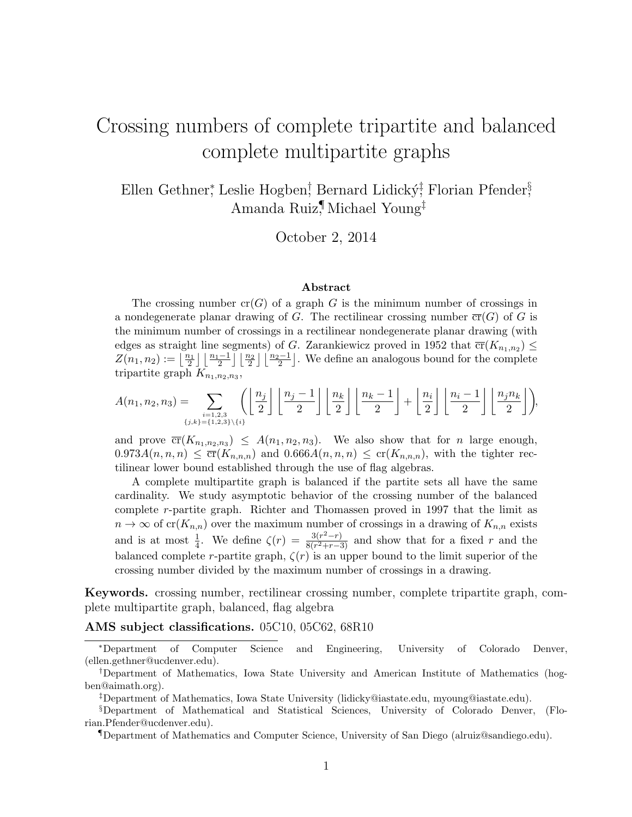# Crossing numbers of complete tripartite and balanced complete multipartite graphs

Ellen Gethner\*, Leslie Hogben! Bernard Lidický!† Florian Pfender§ Amanda Ruiz¶ , Michael Young‡

October 2, 2014

#### Abstract

The crossing number  $cr(G)$  of a graph G is the minimum number of crossings in a nondegenerate planar drawing of G. The rectilinear crossing number  $\overline{\text{cr}}(G)$  of G is the minimum number of crossings in a rectilinear nondegenerate planar drawing (with edges as straight line segments) of G. Zarankiewicz proved in 1952 that  $\overline{\text{cr}}(K_{n_1,n_2}) \leq$  $Z(n_1, n_2) := \lfloor \frac{n_1}{2} \rfloor \lfloor \frac{n_1-1}{2} \rfloor \lfloor \frac{n_2}{2} \rfloor \lfloor \frac{n_2-1}{2} \rfloor$ . We define an analogous bound for the complete tripartite graph  $K_{n_1,n_2,n_3}$ ,

$$
A(n_1, n_2, n_3) = \sum_{\substack{i=1,2,3\\ \{j,k\}=\{1,2,3\}\setminus\{i\}}} \left( \left\lfloor \frac{n_j}{2} \right\rfloor \left\lfloor \frac{n_j-1}{2} \right\rfloor \left\lfloor \frac{n_k}{2} \right\rfloor \left\lfloor \frac{n_k-1}{2} \right\rfloor + \left\lfloor \frac{n_i}{2} \right\rfloor \left\lfloor \frac{n_i-1}{2} \right\rfloor \left\lfloor \frac{n_j n_k}{2} \right\rfloor \right),
$$

and prove  $\overline{\mathrm{cr}}(K_{n_1,n_2,n_3}) \leq A(n_1,n_2,n_3)$ . We also show that for *n* large enough,  $0.973A(n,n,n) \leq \overline{\mathrm{cr}}(K_{n,n,n})$  and  $0.666A(n,n,n) \leq \mathrm{cr}(K_{n,n,n})$ , with the tighter rectilinear lower bound established through the use of flag algebras.

A complete multipartite graph is balanced if the partite sets all have the same cardinality. We study asymptotic behavior of the crossing number of the balanced complete r-partite graph. Richter and Thomassen proved in 1997 that the limit as  $n \to \infty$  of cr( $K_{n,n}$ ) over the maximum number of crossings in a drawing of  $K_{n,n}$  exists and is at most  $\frac{1}{4}$ . We define  $\zeta(r) = \frac{3(r^2-r)}{8(r^2+r-3r)}$  $\frac{3(r^2-r)}{8(r^2+r-3)}$  and show that for a fixed r and the balanced complete r-partite graph,  $\zeta(r)$  is an upper bound to the limit superior of the crossing number divided by the maximum number of crossings in a drawing.

Keywords. crossing number, rectilinear crossing number, complete tripartite graph, complete multipartite graph, balanced, flag algebra

AMS subject classifications. 05C10, 05C62, 68R10

<sup>∗</sup>Department of Computer Science and Engineering, University of Colorado Denver, (ellen.gethner@ucdenver.edu).

<sup>†</sup>Department of Mathematics, Iowa State University and American Institute of Mathematics (hogben@aimath.org).

<sup>‡</sup>Department of Mathematics, Iowa State University (lidicky@iastate.edu, myoung@iastate.edu).

<sup>§</sup>Department of Mathematical and Statistical Sciences, University of Colorado Denver, (Florian.Pfender@ucdenver.edu).

<sup>¶</sup>Department of Mathematics and Computer Science, University of San Diego (alruiz@sandiego.edu).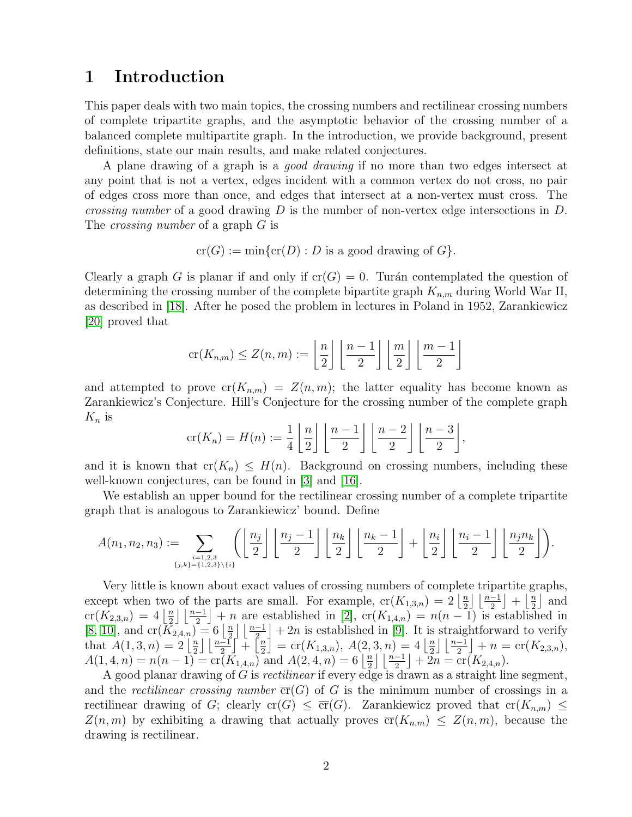### 1 Introduction

This paper deals with two main topics, the crossing numbers and rectilinear crossing numbers of complete tripartite graphs, and the asymptotic behavior of the crossing number of a balanced complete multipartite graph. In the introduction, we provide background, present definitions, state our main results, and make related conjectures.

A plane drawing of a graph is a good drawing if no more than two edges intersect at any point that is not a vertex, edges incident with a common vertex do not cross, no pair of edges cross more than once, and edges that intersect at a non-vertex must cross. The *crossing number* of a good drawing  $D$  is the number of non-vertex edge intersections in  $D$ . The *crossing number* of a graph G is

$$
\operatorname{cr}(G) := \min\{\operatorname{cr}(D) : D \text{ is a good drawing of } G\}.
$$

Clearly a graph G is planar if and only if  $cr(G) = 0$ . Turán contemplated the question of determining the crossing number of the complete bipartite graph  $K_{n,m}$  during World War II, as described in [\[18\]](#page-10-0). After he posed the problem in lectures in Poland in 1952, Zarankiewicz [\[20\]](#page-10-1) proved that

$$
\operatorname{cr}(K_{n,m}) \le Z(n,m) := \left\lfloor \frac{n}{2} \right\rfloor \left\lfloor \frac{n-1}{2} \right\rfloor \left\lfloor \frac{m}{2} \right\rfloor \left\lfloor \frac{m-1}{2} \right\rfloor
$$

and attempted to prove  $cr(K_{n,m}) = Z(n,m)$ ; the latter equality has become known as Zarankiewicz's Conjecture. Hill's Conjecture for the crossing number of the complete graph  $K_n$  is

$$
\operatorname{cr}(K_n) = H(n) := \frac{1}{4} \left\lfloor \frac{n}{2} \right\rfloor \left\lfloor \frac{n-1}{2} \right\rfloor \left\lfloor \frac{n-2}{2} \right\rfloor \left\lfloor \frac{n-3}{2} \right\rfloor,
$$

and it is known that  $cr(K_n) \leq H(n)$ . Background on crossing numbers, including these well-known conjectures, can be found in [\[3\]](#page-9-0) and [\[16\]](#page-10-2).

We establish an upper bound for the rectilinear crossing number of a complete tripartite graph that is analogous to Zarankiewicz' bound. Define

$$
A(n_1, n_2, n_3) := \sum_{\{j,k\}=\{1,2,3\}\setminus\{i\}} \left( \left\lfloor \frac{n_j}{2} \right\rfloor \left\lfloor \frac{n_j-1}{2} \right\rfloor \left\lfloor \frac{n_k}{2} \right\rfloor \left\lfloor \frac{n_k-1}{2} \right\rfloor + \left\lfloor \frac{n_i}{2} \right\rfloor \left\lfloor \frac{n_j-1}{2} \right\rfloor \left\lfloor \frac{n_jn_k}{2} \right\rfloor \right).
$$

Very little is known about exact values of crossing numbers of complete tripartite graphs, except when two of the parts are small. For example,  $\mathrm{cr}(K_{1,3,n}) = 2 \left\lfloor \frac{n}{2} \right\rfloor$  $\frac{n}{2}$  $\lfloor \frac{n-1}{2} \rfloor + \lfloor \frac{n}{2} \rfloor$  $\frac{n}{2}$  and  $cr(K_{2,3,n}) = 4 \left\lfloor \frac{n}{2} \right\rfloor$  $\frac{n}{2} \lfloor \frac{n-1}{2} \rfloor + n$  are established in [\[2\]](#page-9-1),  $\operatorname{cr}(K_{1,4,n}) = n(n-1)$  is established in [\[8,](#page-10-3) [10\]](#page-10-4), and  $\text{cr}(\overline{K}_{2,4,n}) = 6 \left\lfloor \frac{n}{2} \right\rfloor$  $\frac{n}{2}$   $\lfloor \frac{n-1}{2} \rfloor + 2n$  is established in [\[9\]](#page-10-5). It is straightforward to verify that  $A(1,3,n) = 2 \frac{n}{2}$  $\frac{n}{2}$   $\lfloor \frac{n-1}{2} \rfloor$  +  $\lfloor \frac{n}{2} \rfloor$  $\left[\frac{n}{2}\right] = \text{cr}(K_{1,3,n}), A(2,3,n) = 4\left[\frac{n}{2}\right]$  $\frac{n}{2}$  $\lfloor \frac{n-1}{2} \rfloor + n = \text{cr}(K_{2,3,n}),$  $A(1, 4, n) = n(n-1) = \text{cr}(\overline{K}_{1,4,n})$  and  $A(2, 4, n) = 6 \left\lfloor \frac{n}{2} \right\rfloor$  $\frac{n}{2}$  $\lfloor \frac{n-1}{2} \rfloor + 2n = \text{cr}(\overline{K}_{2,4,n}).$ 

A good planar drawing of G is rectilinear if every edge is drawn as a straight line segment, and the *rectilinear crossing number*  $\overline{\text{cr}}(G)$  of G is the minimum number of crossings in a rectilinear drawing of G; clearly cr(G)  $\leq \overline{cr}(G)$ . Zarankiewicz proved that cr( $K_{n,m}$ )  $\leq$  $Z(n, m)$  by exhibiting a drawing that actually proves  $\overline{cr}(K_{n,m}) \leq Z(n, m)$ , because the drawing is rectilinear.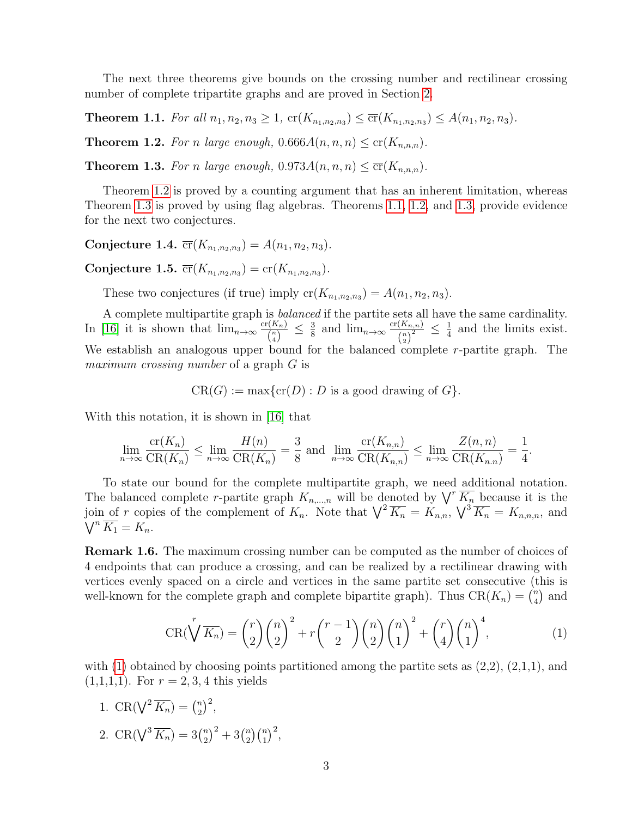The next three theorems give bounds on the crossing number and rectilinear crossing number of complete tripartite graphs and are proved in Section [2.](#page-3-0)

<span id="page-2-2"></span>**Theorem 1.1.** For all  $n_1, n_2, n_3 \ge 1$ ,  $cr(K_{n_1, n_2, n_3}) \le \overline{cr}(K_{n_1, n_2, n_3}) \le A(n_1, n_2, n_3)$ .

<span id="page-2-0"></span>**Theorem 1.2.** For n large enough,  $0.666A(n, n, n) \leq c r(K_{n,n,n}).$ 

<span id="page-2-1"></span>**Theorem 1.3.** For n large enough,  $0.973A(n, n, n) \leq \overline{cr}(K_{n,n,n}).$ 

Theorem [1.2](#page-2-0) is proved by a counting argument that has an inherent limitation, whereas Theorem [1.3](#page-2-1) is proved by using flag algebras. Theorems [1.1,](#page-2-2) [1.2,](#page-2-0) and [1.3,](#page-2-1) provide evidence for the next two conjectures.

Conjecture 1.4.  $\overline{\text{cr}}(K_{n_1,n_2,n_3}) = A(n_1,n_2,n_3)$ .

Conjecture 1.5.  $\overline{\text{cr}}(K_{n_1,n_2,n_3}) = \text{cr}(K_{n_1,n_2,n_3}).$ 

These two conjectures (if true) imply  $cr(K_{n_1,n_2,n_3}) = A(n_1,n_2,n_3)$ .

A complete multipartite graph is balanced if the partite sets all have the same cardinality. In [\[16\]](#page-10-2) it is shown that  $\lim_{n\to\infty} \frac{\text{cr}(K_n)}{n}$  $\frac{\Gamma(K_n)}{\binom{n}{4}} \leq \frac{3}{8}$  $rac{3}{8}$  and  $\lim_{n\to\infty} \frac{\text{cr}(K_{n,n})}{(n)^2}$  $\frac{\left(K_{n,n}\right)}{\left(n\right)^2} \leq \frac{1}{4}$  $\frac{1}{4}$  and the limits exist. We establish an analogous upper bound for the balanced complete  $r$ -partite graph. The maximum crossing number of a graph G is

 $CR(G) := \max\{cr(D) : D \text{ is a good drawing of } G\}.$ 

With this notation, it is shown in [\[16\]](#page-10-2) that

$$
\lim_{n \to \infty} \frac{\text{cr}(K_n)}{\text{CR}(K_n)} \le \lim_{n \to \infty} \frac{H(n)}{\text{CR}(K_n)} = \frac{3}{8}
$$
 and 
$$
\lim_{n \to \infty} \frac{\text{cr}(K_{n,n})}{\text{CR}(K_{n,n})} \le \lim_{n \to \infty} \frac{Z(n,n)}{\text{CR}(K_{n,n})} = \frac{1}{4}.
$$

To state our bound for the complete multipartite graph, we need additional notation. The balanced complete r-partite graph  $K_{n,\dots,n}$  will be denoted by  $\bigvee^{r}\overline{K_{n}}$  because it is the join of r copies of the complement of  $K_n$ . Note that  $\sqrt{\frac{2K_n}{K_n}} = K_{n,n}$ ,  $\sqrt{\frac{2K_n}{K_n}} = K_{n,n,n}$ , and  $\bigvee^n \overline{K_1} = K_n.$ 

Remark 1.6. The maximum crossing number can be computed as the number of choices of 4 endpoints that can produce a crossing, and can be realized by a rectilinear drawing with vertices evenly spaced on a circle and vertices in the same partite set consecutive (this is well-known for the complete graph and complete bipartite graph). Thus  $CR(K_n) = \binom{n}{4}$  $\binom{n}{4}$  and

<span id="page-2-3"></span>
$$
CR(\bigvee^{r} \overline{K_n}) = {r \choose 2} {n \choose 2}^{2} + r {r-1 \choose 2} {n \choose 2} {n \choose 1}^{2} + {r \choose 4} {n \choose 1}^{4},
$$
(1)

with  $(1)$  obtained by choosing points partitioned among the partite sets as  $(2,2)$ ,  $(2,1,1)$ , and  $(1,1,1,1)$ . For  $r = 2, 3, 4$  this yields

- 1. CR( $\sqrt{2 K_n}$ ) =  $\binom{n}{2}$  ${n \choose 2}^2,$
- 2. CR( $\sqrt[3]{K_n}$ ) = 3 $\binom{n}{2}$  $\binom{n}{2}^2 + 3\binom{n}{2}$  $\binom{n}{2}\binom{n}{1}^2$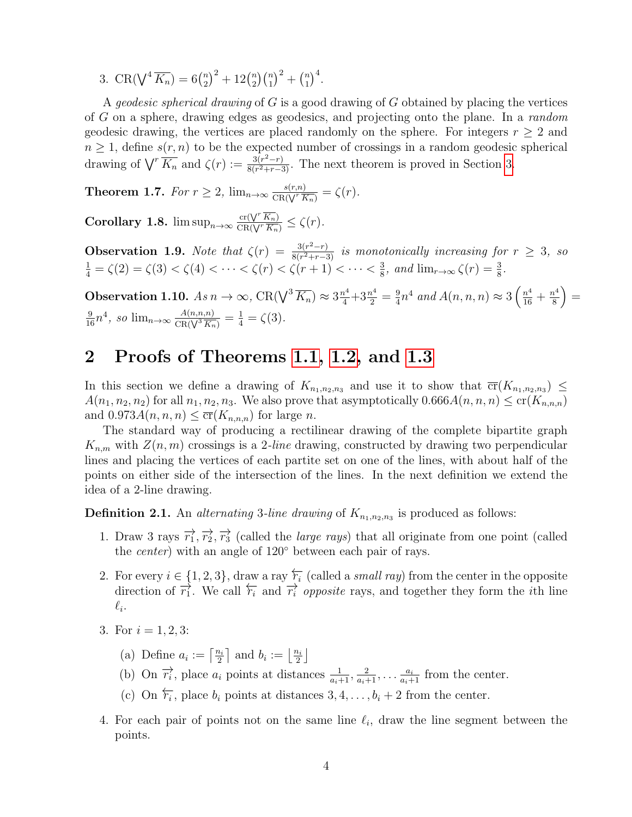3. CR( $\sqrt[4]{K_n}$ ) = 6 $\binom{n}{2}$  $\binom{n}{2}^2 + 12\binom{n}{2}$  $\binom{n}{2}\binom{n}{1}^2 + \binom{n}{1}$  $\binom{n}{1}^4$ .

A *geodesic spherical drawing* of  $G$  is a good drawing of  $G$  obtained by placing the vertices of G on a sphere, drawing edges as geodesics, and projecting onto the plane. In a random geodesic drawing, the vertices are placed randomly on the sphere. For integers  $r \geq 2$  and  $n \geq 1$ , define  $s(r, n)$  to be the expected number of crossings in a random geodesic spherical drawing of  $\bigvee^r \overline{K_n}$  and  $\zeta(r) := \frac{3(r^2-r)}{8(r^2+r-5)}$  $\frac{3(r^2-r)}{8(r^2+r-3)}$ . The next theorem is proved in Section [3.](#page-8-0)

<span id="page-3-2"></span>**Theorem 1.7.** For  $r \geq 2$ ,  $\lim_{n \to \infty} \frac{s(r,n)}{CR(\sqrt{r}R)}$  $\frac{s(r,n)}{\text{CR}(\sqrt{r}\,\overline{K_n})}=\zeta(r).$ 

**Corollary 1.8.**  $\limsup_{n\to\infty} \frac{\operatorname{cr}(\sqrt{r}\ \overline{K_n})}{\operatorname{CR}(\sqrt{r}\ \overline{K_n})}$  $\frac{\operatorname{cr}(\sqrt{K_n})}{\operatorname{CR}(\sqrt{K_n})} \leq \zeta(r).$ 

**Observation 1.9.** Note that  $\zeta(r) = \frac{3(r^2-r)}{8(r^2+r-5)}$ **Observation 1.9.** Note that  $\zeta(r) = \frac{3(r^2-r)}{8(r^2+r-3)}$  is monotonically increasing for  $r \geq 3$ , so  $\frac{1}{4} = \zeta(2) = \zeta(3) < \zeta(4) < \cdots < \zeta(r) < \zeta(r+1) < \cdots < \frac{3}{8}$ , and  $\lim_{r \to \infty} \zeta(r) = \frac{3}{8}$ .  $\frac{3}{8}$ , and  $\lim_{r\to\infty} \zeta(r) = \frac{3}{8}$ .

Observation 1.10.  $As n \to \infty$ ,  $CR(\bigvee^3 \overline{K_n}) \approx 3\frac{n^4}{4} + 3\frac{n^4}{2} = \frac{9}{4}$  $\frac{9}{4}n^4$  and  $A(n,n,n) \approx 3\left(\frac{n^4}{16} + \frac{n^4}{8}\right)$ 8  $=$  $\frac{9}{16}n^4$ , so  $\lim_{n\to\infty} \frac{A(n,n,n)}{CR(\sqrt[3]{\frac{K_n}{K_n}})}$  $\frac{A(n,n,n)}{\text{CR}(\sqrt{3}|\overline{K_n})}=\frac{1}{4}=\zeta(3).$ 

### <span id="page-3-0"></span>2 Proofs of Theorems [1.1,](#page-2-2) [1.2,](#page-2-0) and [1.3](#page-2-1)

In this section we define a drawing of  $K_{n_1,n_2,n_3}$  and use it to show that  $\overline{\mathrm{cr}}(K_{n_1,n_2,n_3}) \leq$  $A(n_1, n_2, n_2)$  for all  $n_1, n_2, n_3$ . We also prove that asymptotically  $0.666A(n, n, n) \leq cr(K_{n,n,n})$ and  $0.973A(n, n, n) \leq \overline{\mathrm{cr}}(K_{n,n,n})$  for large n.

The standard way of producing a rectilinear drawing of the complete bipartite graph  $K_{n,m}$  with  $Z(n,m)$  crossings is a 2-line drawing, constructed by drawing two perpendicular lines and placing the vertices of each partite set on one of the lines, with about half of the points on either side of the intersection of the lines. In the next definition we extend the idea of a 2-line drawing.

<span id="page-3-1"></span>**Definition 2.1.** An alternating 3-line drawing of  $K_{n_1,n_2,n_3}$  is produced as follows:

- 1. Draw 3 rays  $\overrightarrow{r_1}, \overrightarrow{r_2}, \overrightarrow{r_3}$  (called the *large rays*) that all originate from one point (called the center) with an angle of 120◦ between each pair of rays.
- 2. For every  $i \in \{1, 2, 3\}$ , draw a ray  $\overleftarrow{t_i}$  (called a *small ray*) from the center in the opposite direction of  $\overrightarrow{r_1}$ . We call  $\overleftarrow{r_i}$  and  $\overrightarrow{r_i}$  *opposite* rays, and together they form the *i*th line  $\ell_i$ .
- 3. For  $i = 1, 2, 3$ :
	- (a) Define  $a_i := \left\lceil \frac{n_i}{2} \right\rceil$  $\frac{n_i}{2}$  and  $b_i := \left\lfloor \frac{n_i}{2} \right\rfloor$  $\frac{i_i}{2}$
	- (b) On  $\overrightarrow{r_i}$ , place  $a_i$  points at distances  $\frac{1}{a_i+1}, \frac{2}{a_i+1}, \ldots, \frac{a_i}{a_i+1}$  from the center.
	- (c) On  $\overleftarrow{r_i}$ , place  $b_i$  points at distances 3, 4, ...,  $b_i + 2$  from the center.
- 4. For each pair of points not on the same line  $\ell_i$ , draw the line segment between the points.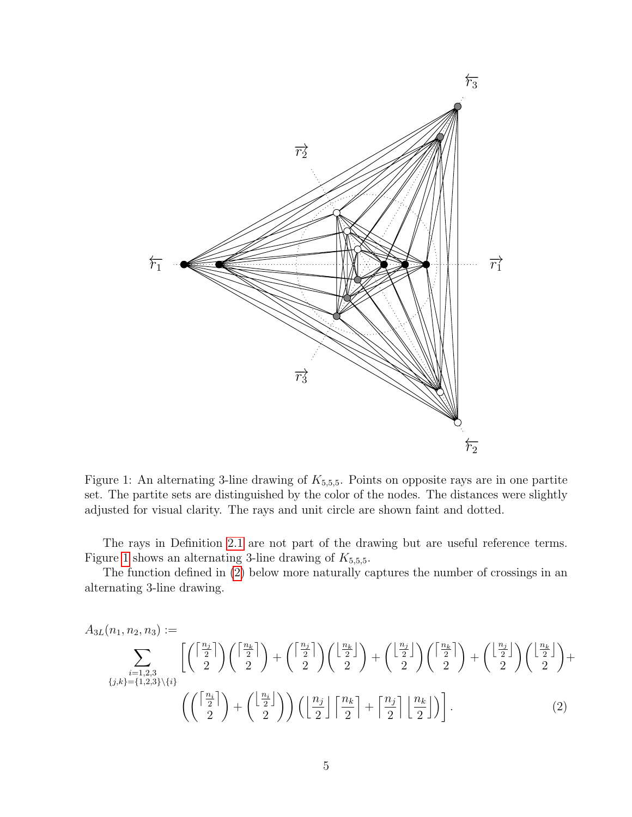

<span id="page-4-0"></span>Figure 1: An alternating 3-line drawing of  $K_{5,5,5}$ . Points on opposite rays are in one partite set. The partite sets are distinguished by the color of the nodes. The distances were slightly adjusted for visual clarity. The rays and unit circle are shown faint and dotted.

The rays in Definition [2.1](#page-3-1) are not part of the drawing but are useful reference terms. Figure [1](#page-4-0) shows an alternating 3-line drawing of  $K_{5,5,5}$ .

The function defined in [\(2\)](#page-4-1) below more naturally captures the number of crossings in an alternating 3-line drawing.

<span id="page-4-1"></span>
$$
A_{3L}(n_1, n_2, n_3) := \sum_{\substack{i=1,2,3\\ \{j,k\}=\{1,2,3\}\setminus\{i\}}} \left[ \binom{\left\lceil \frac{n_j}{2} \right\rceil}{2} \binom{\left\lceil \frac{n_k}{2} \right\rceil}{2} + \binom{\left\lceil \frac{n_j}{2} \right\rceil}{2} \binom{\left\lfloor \frac{n_k}{2} \right\rfloor}{2} + \binom{\left\lfloor \frac{n_j}{2} \right\rfloor}{2} \binom{\left\lfloor \frac{n_k}{2} \right\rfloor}{2} + \binom{\left\lfloor \frac{n_j}{2} \right\rfloor}{2} \binom{\left\lfloor \frac{n_k}{2} \right\rfloor}{2} + \binom{\left\lfloor \frac{n_j}{2} \right\rfloor}{2} \binom{\left\lfloor \frac{n_k}{2} \right\rfloor}{2} + \binom{\left\lfloor \frac{n_j}{2} \right\rfloor}{2} \binom{\left\lfloor \frac{n_k}{2} \right\rfloor}{2} + \binom{\left\lfloor \frac{n_j}{2} \right\rfloor}{2} \binom{\left\lfloor \frac{n_k}{2} \right\rfloor}{2} \right].
$$
\n(2)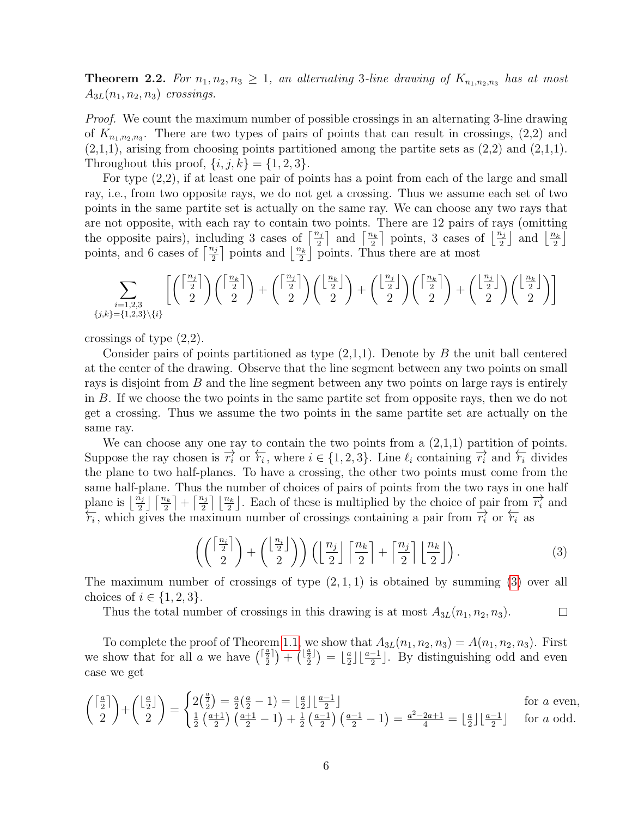<span id="page-5-1"></span>**Theorem 2.2.** For  $n_1, n_2, n_3 \geq 1$ , an alternating 3-line drawing of  $K_{n_1,n_2,n_3}$  has at most  $A_{3L}(n_1, n_2, n_3)$  crossings.

Proof. We count the maximum number of possible crossings in an alternating 3-line drawing of  $K_{n_1,n_2,n_3}$ . There are two types of pairs of points that can result in crossings,  $(2,2)$  and  $(2,1,1)$ , arising from choosing points partitioned among the partite sets as  $(2,2)$  and  $(2,1,1)$ . Throughout this proof,  $\{i, j, k\} = \{1, 2, 3\}.$ 

For type (2,2), if at least one pair of points has a point from each of the large and small ray, i.e., from two opposite rays, we do not get a crossing. Thus we assume each set of two points in the same partite set is actually on the same ray. We can choose any two rays that are not opposite, with each ray to contain two points. There are 12 pairs of rays (omitting the opposite pairs), including 3 cases of  $\left\lceil \frac{n_j}{2} \right\rceil$  and  $\left\lceil \frac{n_k}{2} \right\rceil$  $\frac{2k}{2}$  points, 3 cases of  $\lfloor \frac{n_j}{2} \rfloor$  and  $\lfloor \frac{n_k}{2} \rfloor$  $\frac{i_k}{2}$ points, and 6 cases of  $\left\lceil \frac{n_j}{2} \right\rceil$  points and  $\left\lfloor \frac{n_k}{2} \right\rfloor$  $\frac{v_k}{2}$  points. Thus there are at most

$$
\sum_{\substack{i=1,2,3\\ \{j,k\}=\{1,2,3\}\setminus\{i\}}} \left[\binom{\left\lceil\frac{n_j}{2}\right\rceil}{2}\binom{\left\lceil\frac{n_k}{2}\right\rceil}{2}+\binom{\left\lceil\frac{n_j}{2}\right\rceil}{2}\binom{\left\lfloor\frac{n_k}{2}\right\rfloor}{2}+\binom{\left\lfloor\frac{n_j}{2}\right\rfloor}{2}\binom{\left\lceil\frac{n_k}{2}\right\rceil}{2}+\binom{\left\lfloor\frac{n_j}{2}\right\rfloor}{2}\binom{\left\lfloor\frac{n_k}{2}\right\rfloor}{2}
$$

crossings of type (2,2).

Consider pairs of points partitioned as type  $(2,1,1)$ . Denote by B the unit ball centered at the center of the drawing. Observe that the line segment between any two points on small rays is disjoint from B and the line segment between any two points on large rays is entirely in B. If we choose the two points in the same partite set from opposite rays, then we do not get a crossing. Thus we assume the two points in the same partite set are actually on the same ray.

We can choose any one ray to contain the two points from a  $(2,1,1)$  partition of points. Suppose the ray chosen is  $\overrightarrow{r_i}$  or  $\overleftarrow{r_i}$ , where  $i \in \{1, 2, 3\}$ . Line  $\ell_i$  containing  $\overrightarrow{r_i}$  and  $\overleftarrow{r_i}$  divides the plane to two half-planes. To have a crossing, the other two points must come from the same half-plane. Thus the number of choices of pairs of points from the two rays in one half plane is  $\lfloor \frac{n_j}{2} \rfloor \lceil \frac{n_k}{2} \rceil + \lceil \frac{n_j}{2} \rceil \lfloor \frac{n_k}{2} \rfloor$ . Each of these is multiplied by the choice of pair from  $\overrightarrow{r_i}$  and  $\overleftarrow{r_i}$ , which gives the maximum number of crossings containing a pair from  $\overrightarrow{r_i}$  or  $\overleftarrow{r_i}$  as

<span id="page-5-0"></span>
$$
\left( \binom{\left\lceil \frac{n_i}{2} \right\rceil}{2} + \binom{\left\lfloor \frac{n_i}{2} \right\rfloor}{2} \right) \left( \left\lfloor \frac{n_j}{2} \right\rfloor \left\lceil \frac{n_k}{2} \right\rceil + \left\lceil \frac{n_j}{2} \right\rceil \left\lfloor \frac{n_k}{2} \right\rfloor \right). \tag{3}
$$

The maximum number of crossings of type  $(2, 1, 1)$  is obtained by summing  $(3)$  over all choices of  $i \in \{1, 2, 3\}.$ 

Thus the total number of crossings in this drawing is at most  $A_{3L}(n_1, n_2, n_3)$ .  $\Box$ 

To complete the proof of Theorem [1.1,](#page-2-2) we show that  $A_{3L}(n_1, n_2, n_3) = A(n_1, n_2, n_3)$ . First we show that for all a we have  $\binom{\lceil \frac{a}{2} \rceil}$  $\binom{\frac{a}{2}}{2} + \binom{\lfloor \frac{a}{2} \rfloor}{2}$  $\binom{\frac{a}{2}}{2}$  =  $\lfloor \frac{a}{2} \rfloor$  $\frac{a}{2}$  $\lfloor \frac{a-1}{2} \rfloor$ . By distinguishing odd and even case we get

$$
\binom{\lceil \frac{a}{2} \rceil}{2} + \binom{\lfloor \frac{a}{2} \rfloor}{2} = \begin{cases} 2\left(\frac{a}{2}\right) = \frac{a}{2}\left(\frac{a}{2} - 1\right) = \lfloor \frac{a}{2} \rfloor \lfloor \frac{a-1}{2} \rfloor & \text{for } a \text{ even,} \\ \frac{1}{2}\left(\frac{a+1}{2}\right)\left(\frac{a+1}{2} - 1\right) + \frac{1}{2}\left(\frac{a-1}{2}\right)\left(\frac{a-1}{2} - 1\right) = \frac{a^2 - 2a + 1}{4} = \lfloor \frac{a}{2} \rfloor \lfloor \frac{a-1}{2} \rfloor & \text{for } a \text{ odd.} \end{cases}
$$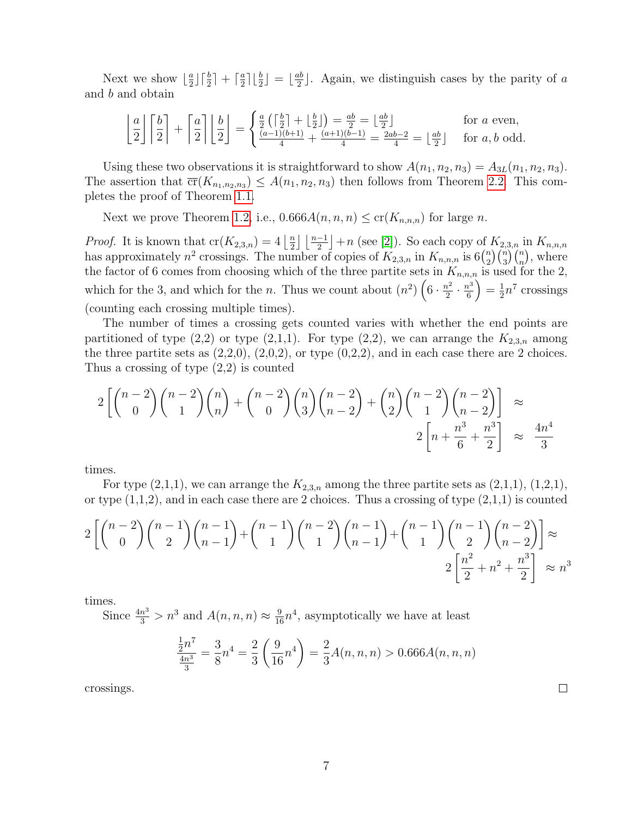Next we show  $\lfloor \frac{a}{2} \rfloor$  $\frac{a}{2}$ ]  $\lceil \frac{b}{2} \rceil$  +  $\lceil \frac{a}{2}$  $\frac{a}{2}$ ]  $\lfloor \frac{b}{2} \rfloor = \lfloor \frac{ab}{2}$  $\frac{ab}{2}$ . Again, we distinguish cases by the parity of a and b and obtain

$$
\left\lfloor \frac{a}{2} \right\rfloor \left\lceil \frac{b}{2} \right\rceil + \left\lceil \frac{a}{2} \right\rceil \left\lfloor \frac{b}{2} \right\rfloor = \begin{cases} \frac{a}{2} \left( \left\lceil \frac{b}{2} \right\rceil + \left\lfloor \frac{b}{2} \right\rfloor \right) = \frac{ab}{2} = \left\lfloor \frac{ab}{2} \right\rfloor & \text{for } a \text{ even,} \\ \frac{(a-1)(b+1)}{4} + \frac{(a+1)(b-1)}{4} = \frac{2ab-2}{4} = \left\lfloor \frac{ab}{2} \right\rfloor & \text{for } a, b \text{ odd.} \end{cases}
$$

Using these two observations it is straightforward to show  $A(n_1, n_2, n_3) = A_{3L}(n_1, n_2, n_3)$ . The assertion that  $\overline{\text{cr}}(K_{n_1,n_2,n_3}) \leq A(n_1,n_2,n_3)$  then follows from Theorem [2.2.](#page-5-1) This completes the proof of Theorem [1.1.](#page-2-2)

Next we prove Theorem [1.2,](#page-2-0) i.e.,  $0.666A(n, n, n) \leq c r(K_{n,n,n})$  for large n.

*Proof.* It is known that  $cr(K_{2,3,n}) = 4 \left\lfloor \frac{n}{2} \right\rfloor$  $\frac{n}{2} \left[ \frac{n-1}{2} \right] + n$  (see [\[2\]](#page-9-1)). So each copy of  $K_{2,3,n}$  in  $K_{n,n,n}$ has approximately  $n^2$  crossings. The number of copies of  $K_{2,3,n}$  in  $K_{n,n,n}$  is 6 $\binom{n}{2}$  $\binom{n}{2}\binom{n}{3}\binom{n}{n}$ , where the factor of 6 comes from choosing which of the three partite sets in  $K_{n,n,n}$  is used for the 2, which for the 3, and which for the *n*. Thus we count about  $(n^2)$   $\left(6 \cdot \frac{n^2}{2}\right)$  $\frac{n^2}{2} \cdot \frac{n^3}{6}$ 6  $=\frac{1}{2}$  $\frac{1}{2}n^7$  crossings (counting each crossing multiple times).

The number of times a crossing gets counted varies with whether the end points are partitioned of type  $(2,2)$  or type  $(2,1,1)$ . For type  $(2,2)$ , we can arrange the  $K_{2,3,n}$  among the three partite sets as  $(2,2,0)$ ,  $(2,0,2)$ , or type  $(0,2,2)$ , and in each case there are 2 choices. Thus a crossing of type (2,2) is counted

$$
2\left[\binom{n-2}{0}\binom{n-2}{1}\binom{n}{n}+\binom{n-2}{0}\binom{n}{3}\binom{n-2}{n-2}+\binom{n}{2}\binom{n-2}{1}\binom{n-2}{n-2}\right] \approx
$$
  
2\left[n+\frac{n^3}{6}+\frac{n^3}{2}\right] \approx \frac{4n^4}{3}

times.

For type  $(2,1,1)$ , we can arrange the  $K_{2,3,n}$  among the three partite sets as  $(2,1,1)$ ,  $(1,2,1)$ , or type  $(1,1,2)$ , and in each case there are 2 choices. Thus a crossing of type  $(2,1,1)$  is counted

$$
2\left[\binom{n-2}{0}\binom{n-1}{2}\binom{n-1}{n-1}+\binom{n-1}{1}\binom{n-2}{n-1}+\binom{n-1}{1}\binom{n-1}{2}\binom{n-1}{n-2}\right] \approx
$$
  
2\left[\frac{n^2}{2}+n^2+\frac{n^3}{2}\right] \approx n^3

times.

Since  $\frac{4n^3}{3} > n^3$  and  $A(n, n, n) \approx \frac{9}{16}n^4$ , asymptotically we have at least

$$
\frac{\frac{1}{2}n^7}{\frac{4n^3}{3}} = \frac{3}{8}n^4 = \frac{2}{3}\left(\frac{9}{16}n^4\right) = \frac{2}{3}A(n,n,n) > 0.666A(n,n,n)
$$

crossings.

 $\Box$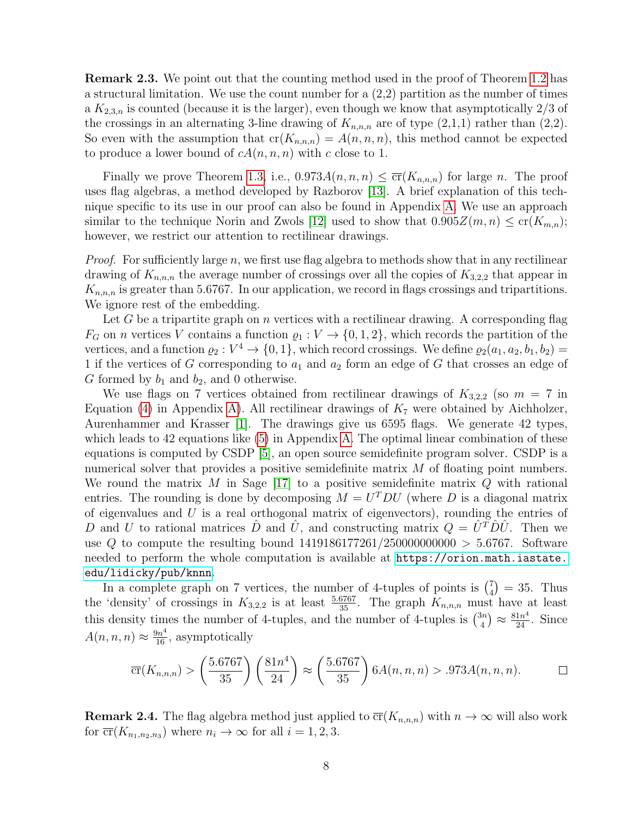Remark 2.3. We point out that the counting method used in the proof of Theorem [1.2](#page-2-0) has a structural limitation. We use the count number for a  $(2,2)$  partition as the number of times a  $K_{2,3,n}$  is counted (because it is the larger), even though we know that asymptotically 2/3 of the crossings in an alternating 3-line drawing of  $K_{n,n,n}$  are of type  $(2,1,1)$  rather than  $(2,2)$ . So even with the assumption that  $cr(K_{n,n,n}) = A(n,n,n)$ , this method cannot be expected to produce a lower bound of  $cA(n, n, n)$  with c close to 1.

Finally we prove Theorem [1.3,](#page-2-1) i.e.,  $0.973A(n, n, n) \leq \overline{\text{cr}}(K_{n,n,n})$  for large n. The proof uses flag algebras, a method developed by Razborov [\[13\]](#page-10-6). A brief explanation of this technique specific to its use in our proof can also be found in Appendix [A.](#page-11-0) We use an approach similar to the technique Norin and Zwols [\[12\]](#page-10-7) used to show that  $0.905Z(m,n) \leq cr(K_{m,n});$ however, we restrict our attention to rectilinear drawings.

*Proof.* For sufficiently large n, we first use flag algebra to methods show that in any rectilinear drawing of  $K_{n,n,n}$  the average number of crossings over all the copies of  $K_{3,2,2}$  that appear in  $K_{n,n,n}$  is greater than 5.6767. In our application, we record in flags crossings and tripartitions. We ignore rest of the embedding.

Let G be a tripartite graph on n vertices with a rectilinear drawing. A corresponding flag  $F_G$  on *n* vertices V contains a function  $\varrho_1 : V \to \{0, 1, 2\}$ , which records the partition of the vertices, and a function  $\varrho_2: V^4 \to \{0, 1\}$ , which record crossings. We define  $\varrho_2(a_1, a_2, b_1, b_2) =$ 1 if the vertices of G corresponding to  $a_1$  and  $a_2$  form an edge of G that crosses an edge of G formed by  $b_1$  and  $b_2$ , and 0 otherwise.

We use flags on 7 vertices obtained from rectilinear drawings of  $K_{3,2,2}$  (so  $m = 7$  in Equation [\(4\)](#page-11-1) in Appendix [A\)](#page-11-0). All rectilinear drawings of  $K<sub>7</sub>$  were obtained by Aichholzer, Aurenhammer and Krasser [\[1\]](#page-9-2). The drawings give us 6595 flags. We generate 42 types, which leads to 42 equations like [\(5\)](#page-12-0) in Appendix [A.](#page-11-0) The optimal linear combination of these equations is computed by CSDP [\[5\]](#page-9-3), an open source semidefinite program solver. CSDP is a numerical solver that provides a positive semidefinite matrix M of floating point numbers. We round the matrix M in Sage [\[17\]](#page-10-8) to a positive semidefinite matrix  $Q$  with rational entries. The rounding is done by decomposing  $M = U<sup>T</sup>DU$  (where D is a diagonal matrix of eigenvalues and  $U$  is a real orthogonal matrix of eigenvectors), rounding the entries of D and U to rational matrices  $\hat{D}$  and  $\hat{U}$ , and constructing matrix  $Q = \hat{U}^T \hat{D} \hat{U}$ . Then we use Q to compute the resulting bound  $1419186177261/250000000000 > 5.6767$ . Software needed to perform the whole computation is available at [https://orion.math.iastate.](https://orion.math.iastate.edu/lidicky/pub/knnn) [edu/lidicky/pub/knnn](https://orion.math.iastate.edu/lidicky/pub/knnn).

In a complete graph on 7 vertices, the number of 4-tuples of points is  $\binom{7}{4}$  $_{4}^{7}$  = 35. Thus the 'density' of crossings in  $K_{3,2,2}$  is at least  $\frac{5.6767}{35}$ . The graph  $K_{n,n,n}$  must have at least this density times the number of 4-tuples, and the number of 4-tuples is  $\binom{3n}{4}$  $\binom{3n}{4} \approx \frac{81n^4}{24}$ . Since  $A(n, n, n) \approx \frac{9n^4}{16}$ , asymptotically

$$
\overline{\text{cr}}(K_{n,n,n}) > \left(\frac{5.6767}{35}\right) \left(\frac{81n^4}{24}\right) \approx \left(\frac{5.6767}{35}\right) 6A(n,n,n) > .973A(n,n,n). \qquad \Box
$$

**Remark 2.4.** The flag algebra method just applied to  $\overline{\text{cr}}(K_{n,n,n})$  with  $n \to \infty$  will also work for  $\overline{\text{cr}}(K_{n_1,n_2,n_3})$  where  $n_i \to \infty$  for all  $i = 1, 2, 3$ .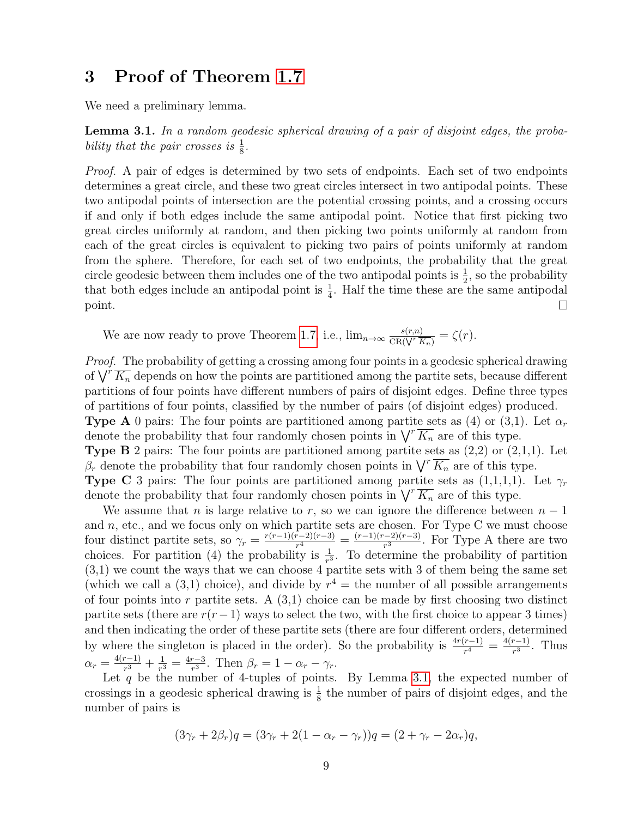## <span id="page-8-0"></span>3 Proof of Theorem [1.7](#page-3-2)

We need a preliminary lemma.

<span id="page-8-1"></span>Lemma 3.1. In a random geodesic spherical drawing of a pair of disjoint edges, the probability that the pair crosses is  $\frac{1}{8}$ .

Proof. A pair of edges is determined by two sets of endpoints. Each set of two endpoints determines a great circle, and these two great circles intersect in two antipodal points. These two antipodal points of intersection are the potential crossing points, and a crossing occurs if and only if both edges include the same antipodal point. Notice that first picking two great circles uniformly at random, and then picking two points uniformly at random from each of the great circles is equivalent to picking two pairs of points uniformly at random from the sphere. Therefore, for each set of two endpoints, the probability that the great circle geodesic between them includes one of the two antipodal points is  $\frac{1}{2}$ , so the probability that both edges include an antipodal point is  $\frac{1}{4}$ . Half the time these are the same antipodal point.  $\Box$ 

We are now ready to prove Theorem [1.7,](#page-3-2) i.e.,  $\lim_{n\to\infty} \frac{s(r,n)}{CR(\sqrt{r}\sqrt{n})}$  $\frac{s(r,n)}{\text{CR}(\sqrt{r}\ \overline{K_n})} = \zeta(r).$ 

Proof. The probability of getting a crossing among four points in a geodesic spherical drawing of  $\bigvee^r \overline{K_n}$  depends on how the points are partitioned among the partite sets, because different partitions of four points have different numbers of pairs of disjoint edges. Define three types of partitions of four points, classified by the number of pairs (of disjoint edges) produced. **Type A** 0 pairs: The four points are partitioned among partite sets as (4) or (3,1). Let  $\alpha_r$ denote the probability that four randomly chosen points in  $\bigvee^r K_n$  are of this type. **Type B** 2 pairs: The four points are partitioned among partite sets as  $(2,2)$  or  $(2,1,1)$ . Let  $\beta_r$  denote the probability that four randomly chosen points in  $\sqrt{K_n}$  are of this type. **Type C** 3 pairs: The four points are partitioned among partite sets as  $(1,1,1,1)$ . Let  $\gamma_r$ denote the probability that four randomly chosen points in  $\sqrt{r K_n}$  are of this type.

We assume that n is large relative to r, so we can ignore the difference between  $n-1$ and  $n$ , etc., and we focus only on which partite sets are chosen. For Type C we must choose four distinct partite sets, so  $\gamma_r = \frac{r(r-1)(r-2)(r-3)}{r^4}$  $\frac{(r-2)(r-3)}{r^4} = \frac{(r-1)(r-2)(r-3)}{r^3}$  $\frac{(-2)(r-3)}{r^3}$ . For Type A there are two choices. For partition (4) the probability is  $\frac{1}{r^3}$ . To determine the probability of partition  $(3,1)$  we count the ways that we can choose 4 partite sets with 3 of them being the same set (which we call a  $(3,1)$  choice), and divide by  $r^4$  = the number of all possible arrangements of four points into r partite sets. A  $(3,1)$  choice can be made by first choosing two distinct partite sets (there are  $r(r-1)$  ways to select the two, with the first choice to appear 3 times) and then indicating the order of these partite sets (there are four different orders, determined by where the singleton is placed in the order). So the probability is  $\frac{4r(r-1)}{r^4} = \frac{4(r-1)}{r^3}$  $rac{r-1}{r^3}$ . Thus  $\alpha_r = \frac{4(r-1)}{r^3}$  $\frac{r-1)}{r^3}+\frac{1}{r^3}$  $\frac{1}{r^3} = \frac{4r-3}{r^3}$  $\frac{r-3}{r^3}$ . Then  $\beta_r = 1 - \alpha_r - \gamma_r$ .

Let q be the number of 4-tuples of points. By Lemma [3.1,](#page-8-1) the expected number of crossings in a geodesic spherical drawing is  $\frac{1}{8}$  the number of pairs of disjoint edges, and the number of pairs is

$$
(3\gamma_r + 2\beta_r)q = (3\gamma_r + 2(1 - \alpha_r - \gamma_r))q = (2 + \gamma_r - 2\alpha_r)q,
$$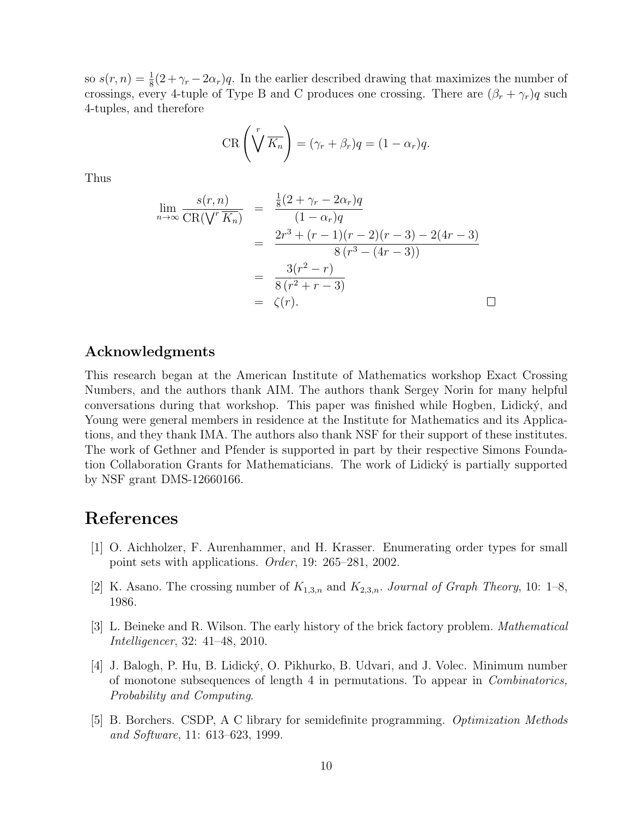so  $s(r, n) = \frac{1}{8}(2 + \gamma_r - 2\alpha_r)q$ . In the earlier described drawing that maximizes the number of crossings, every 4-tuple of Type B and C produces one crossing. There are  $(\beta_r + \gamma_r)q$  such 4-tuples, and therefore

$$
CR\left(\sqrt[r]{K_n}\right) = (\gamma_r + \beta_r)q = (1 - \alpha_r)q.
$$

Thus

$$
\lim_{n \to \infty} \frac{s(r, n)}{\text{CR}(\sqrt{r} \overline{K_n})} = \frac{\frac{1}{8}(2 + \gamma_r - 2\alpha_r)q}{(1 - \alpha_r)q}
$$
  
\n
$$
= \frac{2r^3 + (r - 1)(r - 2)(r - 3) - 2(4r - 3)}{8(r^3 - (4r - 3))}
$$
  
\n
$$
= \frac{3(r^2 - r)}{8(r^2 + r - 3)}
$$
  
\n
$$
= \zeta(r).
$$

#### Acknowledgments

This research began at the American Institute of Mathematics workshop Exact Crossing Numbers, and the authors thank AIM. The authors thank Sergey Norin for many helpful conversations during that workshop. This paper was finished while Hogben, Lidicky, and Young were general members in residence at the Institute for Mathematics and its Applications, and they thank IMA. The authors also thank NSF for their support of these institutes. The work of Gethner and Pfender is supported in part by their respective Simons Foundation Collaboration Grants for Mathematicians. The work of Lidicky is partially supported by NSF grant DMS-12660166.

### References

- <span id="page-9-2"></span>[1] O. Aichholzer, F. Aurenhammer, and H. Krasser. Enumerating order types for small point sets with applications. Order, 19: 265–281, 2002.
- <span id="page-9-1"></span>[2] K. Asano. The crossing number of  $K_{1,3,n}$  and  $K_{2,3,n}$ . Journal of Graph Theory, 10: 1–8, 1986.
- <span id="page-9-0"></span>[3] L. Beineke and R. Wilson. The early history of the brick factory problem. Mathematical Intelligencer, 32: 41–48, 2010.
- <span id="page-9-4"></span>[4] J. Balogh, P. Hu, B. Lidick´y, O. Pikhurko, B. Udvari, and J. Volec. Minimum number of monotone subsequences of length 4 in permutations. To appear in Combinatorics, Probability and Computing.
- <span id="page-9-3"></span>[5] B. Borchers. CSDP, A C library for semidefinite programming. Optimization Methods and Software, 11: 613–623, 1999.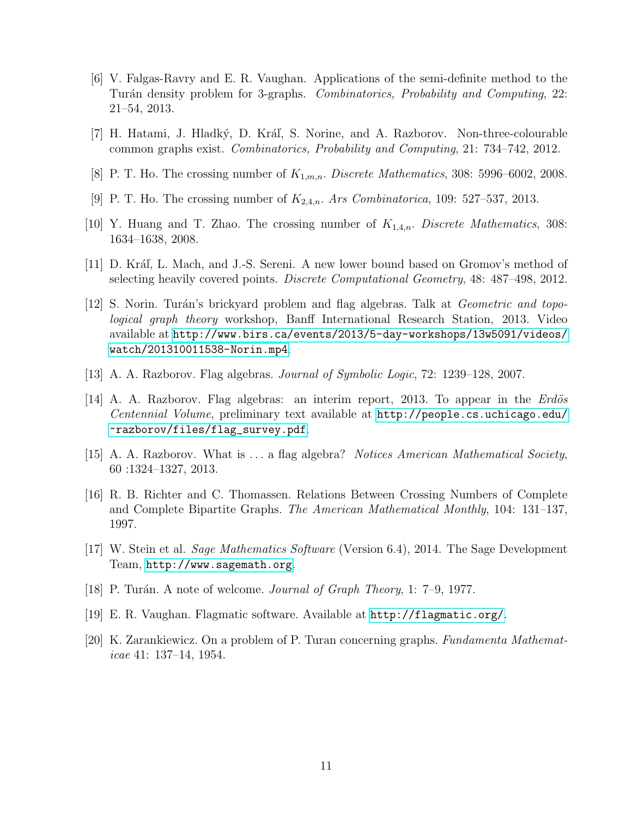- <span id="page-10-10"></span>[6] V. Falgas-Ravry and E. R. Vaughan. Applications of the semi-definite method to the Turán density problem for 3-graphs. *Combinatorics, Probability and Computing*, 22: 21–54, 2013.
- <span id="page-10-9"></span>[7] H. Hatami, J. Hladký, D. Kráľ, S. Norine, and A. Razborov. Non-three-colourable common graphs exist. Combinatorics, Probability and Computing, 21: 734–742, 2012.
- <span id="page-10-3"></span>[8] P. T. Ho. The crossing number of  $K_{1,m,n}$ . Discrete Mathematics, 308: 5996–6002, 2008.
- <span id="page-10-5"></span>[9] P. T. Ho. The crossing number of  $K_{2,4,n}$ . Ars Combinatorica, 109: 527–537, 2013.
- <span id="page-10-4"></span>[10] Y. Huang and T. Zhao. The crossing number of  $K_{1,4,n}$ . Discrete Mathematics, 308: 1634–1638, 2008.
- <span id="page-10-11"></span>[11] D. Kráľ, L. Mach, and J.-S. Sereni. A new lower bound based on Gromov's method of selecting heavily covered points. Discrete Computational Geometry, 48: 487–498, 2012.
- <span id="page-10-7"></span>[12] S. Norin. Turán's brickyard problem and flag algebras. Talk at *Geometric and topo*logical graph theory workshop, Banff International Research Station, 2013. Video available at [http://www.birs.ca/events/2013/5-day-workshops/13w5091/videos/](http://www.birs.ca/events/2013/5-day-workshops/13w5091/videos/watch/201310011538-Norin.mp4) [watch/201310011538-Norin.mp4](http://www.birs.ca/events/2013/5-day-workshops/13w5091/videos/watch/201310011538-Norin.mp4).
- <span id="page-10-6"></span>[13] A. A. Razborov. Flag algebras. Journal of Symbolic Logic, 72: 1239–128, 2007.
- <span id="page-10-12"></span>[14] A. A. Razborov. Flag algebras: an interim report, 2013. To appear in the *Erdös* Centennial Volume, preliminary text available at [http://people.cs.uchicago.edu/](http://people.cs.uchicago.edu/~razborov/files/flag_survey.pdf) [~razborov/files/flag\\_survey.pdf](http://people.cs.uchicago.edu/~razborov/files/flag_survey.pdf).
- <span id="page-10-14"></span>[15] A. A. Razborov. What is . . . a flag algebra? Notices American Mathematical Society, 60 :1324–1327, 2013.
- <span id="page-10-2"></span>[16] R. B. Richter and C. Thomassen. Relations Between Crossing Numbers of Complete and Complete Bipartite Graphs. The American Mathematical Monthly, 104: 131–137, 1997.
- <span id="page-10-8"></span>[17] W. Stein et al. Sage Mathematics Software (Version 6.4), 2014. The Sage Development Team, <http://www.sagemath.org>.
- <span id="page-10-0"></span>[18] P. Turán. A note of welcome. Journal of Graph Theory, 1: 7–9, 1977.
- <span id="page-10-13"></span>[19] E. R. Vaughan. Flagmatic software. Available at <http://flagmatic.org/>.
- <span id="page-10-1"></span>[20] K. Zarankiewicz. On a problem of P. Turan concerning graphs. Fundamenta Mathematicae 41: 137–14, 1954.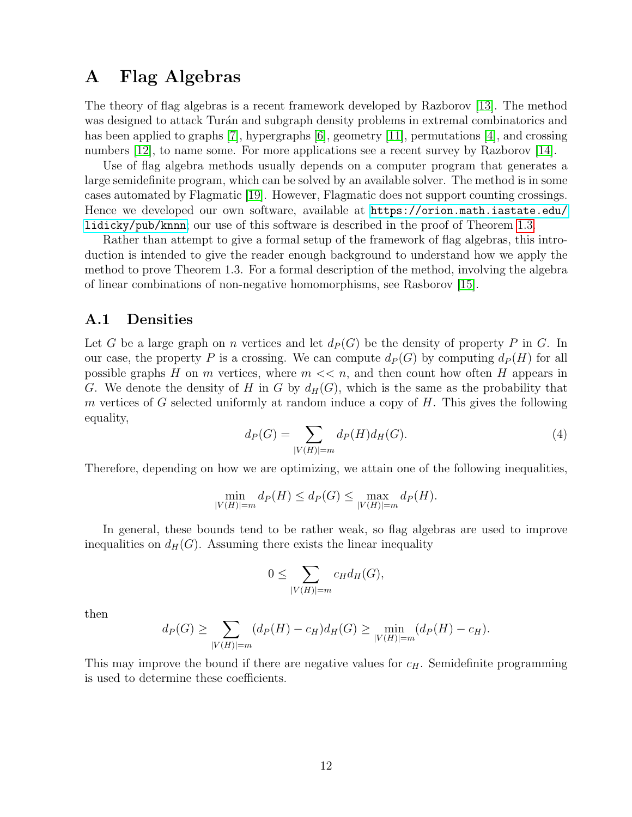## <span id="page-11-0"></span>A Flag Algebras

The theory of flag algebras is a recent framework developed by Razborov [\[13\]](#page-10-6). The method was designed to attack Turán and subgraph density problems in extremal combinatorics and has been applied to graphs [\[7\]](#page-10-9), hypergraphs [\[6\]](#page-10-10), geometry [\[11\]](#page-10-11), permutations [\[4\]](#page-9-4), and crossing numbers [\[12\]](#page-10-7), to name some. For more applications see a recent survey by Razborov [\[14\]](#page-10-12).

Use of flag algebra methods usually depends on a computer program that generates a large semidefinite program, which can be solved by an available solver. The method is in some cases automated by Flagmatic [\[19\]](#page-10-13). However, Flagmatic does not support counting crossings. Hence we developed our own software, available at [https://orion.math.iastate.edu/](https://orion.math.iastate.edu/lidicky/pub/knnn) [lidicky/pub/knnn](https://orion.math.iastate.edu/lidicky/pub/knnn); our use of this software is described in the proof of Theorem [1.3.](#page-2-1)

Rather than attempt to give a formal setup of the framework of flag algebras, this introduction is intended to give the reader enough background to understand how we apply the method to prove Theorem 1.3. For a formal description of the method, involving the algebra of linear combinations of non-negative homomorphisms, see Rasborov [\[15\]](#page-10-14).

### A.1 Densities

Let G be a large graph on n vertices and let  $d_P(G)$  be the density of property P in G. In our case, the property P is a crossing. We can compute  $d_P(G)$  by computing  $d_P(H)$  for all possible graphs H on m vertices, where  $m \ll n$ , and then count how often H appears in G. We denote the density of H in G by  $d_H(G)$ , which is the same as the probability that m vertices of G selected uniformly at random induce a copy of  $H$ . This gives the following equality,

<span id="page-11-1"></span>
$$
d_P(G) = \sum_{|V(H)| = m} d_P(H) d_H(G).
$$
\n(4)

Therefore, depending on how we are optimizing, we attain one of the following inequalities,

$$
\min_{|V(H)|=m} d_P(H) \le d_P(G) \le \max_{|V(H)|=m} d_P(H).
$$

In general, these bounds tend to be rather weak, so flag algebras are used to improve inequalities on  $d_H(G)$ . Assuming there exists the linear inequality

$$
0 \leq \sum_{|V(H)|=m} c_H d_H(G),
$$

then

$$
d_P(G) \ge \sum_{|V(H)|=m} (d_P(H) - c_H) d_H(G) \ge \min_{|V(H)|=m} (d_P(H) - c_H).
$$

This may improve the bound if there are negative values for  $c_H$ . Semidefinite programming is used to determine these coefficients.